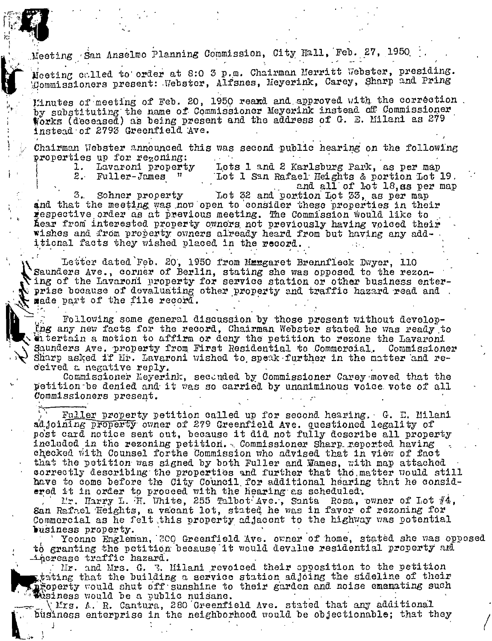Meeting San Anselmo Planning Commission, City Hall, Feb. 27, 1950

Meeting called to order at 8:0 3 p.m. Chairman Merritt Webster, presiding. Commissioners present: Webster, Alfsnes, Meyerink, Carey, Sharp and Pring

Einutes of meeting of Feb. 20, 1950 reamd and approved with the correction. by substituting the name of Commissioner Meyerink instead off Commissioner Works (deceased) as being present and the address of G. E. Milani as  $279$ instead of 2793 Greenfield Ave.

Chairman Webster announced this was second public hearing on the following properties up for regoning:  $\mathbb{R}^2$ 

Lavaroni property Lots 1 and 2 Karlsburg Park, as per map 1.  $2^{\circ}$ Fuller-James " Lot 1 San Rafael Heights & portion Lot 19. and all of lot 18, as per map

Lot 32 and portion Lot 33, as per map Sohner property 3. and that the meeting was now open to consider these properties in their respective order as at previous meeting. The Commission would like to hear from interested property owners not previously having voiced their wishes and from property owners already heard from but having any additional facts they wished placed in the record.

Letter dated Feb. 20, 1950 from Margaret Brennfleck Dwyer, 110 Saunders Ave., corner of Berlin, stating she was opposed to the rezoning of the Lavaroni property for service station or other business enter- $\alpha$  prise bocause of devaluating other property and traffic hazard read and . mede part of the file record.

Following some general discussion by those present without developthe any new facts for the record, Chairman Webster stated he was ready to thertain a motion to affirm or deny the petition to rezone the Lavaroni Saunders Ave. property from First Residential to Commercial. Commissioner Sharp asked if Mr. Lavaroni wished to speak further in the matter and received a negative reply.

Commissioner Neyerink, seconded by Commissioner Carey moved that the petition be denied and it was so carried by unaniminous voice vote of all Commissioners present.

Fuller property petition called up for second hearing. G. E. Milani adjoining property owner of 279 Greenfield Ave. questioned legality of post card notice sent out, because it did not fully describe all property included in the rezoning petition. Commissioner Sharp reported having checked with Counsel forthe Commission who advised that in view of fact that the petition was signed by both Fuller and Mames, with map attached correctly describing the properties and further that the matter would still have to come before the City Council for additional hearing that he considered it in order to proceed with the hearing as scheduled.

Mr. Harry L. H. White, 255 Talbot Ave., Santa Rosa, owner of Lot #4, San Raftel Heights, a vacant lot, stated he was in favor of rezoning for Commercial as he felt this property adjacent to the highway was potential business property.

Yeonne Engleman, 300 Greenfield Ave. owner of home, stated she was opposed to granting the petition because it would devalue residential property and increase traffic hazard.

Mr. and Mrs. G. 3. Milani revoiced their apposition to the petition tion that the building a service station adjoing the sideline of their property would shut off sunshine to their garden and noise emenating such Wesiness would be a public nuisane.

(Mrs. A. R. Cantura, 280 Greenfield Ave. stated that any additional business enterprise in the neighborhood would be objectionable; that they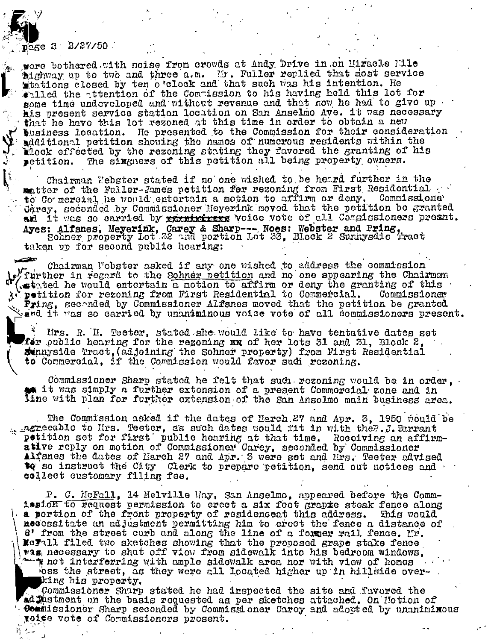$p_{2}$ ge 2  $2/27/50$ 

were bothered with noise from crowds at Andy Drive in on Miracle Mile Alghway up to two and three a.m. Mr. Fuller replied that most service that ions closed by ten o'clock and that such was his intention. He whiled the attention of the Commission to his having held this lot for some time undeveloped and without revenue and that now he had to give up his present service station location on San Anselmo Ave. it was necessary that he have this lot rezoned at this time in order to obtain a new  $'$  buginess location. He presented to the Commission for their consideration additional petition showing the names of numerous residents within the Mock effected by the rezoning stating they favored the granting of his The sixgners of this petition all being property owners. petition.

Chairman Webster stated if no one wished to be heard further in the matter of the Fuller-James petition for rezoning from First Residential. Carey, seconded by Commissioner Heyerink moved that the petition be granted am it was so carried by recetebrase voice vote of all Commissioners present. Ayes: Alfsnes, Meyerink, Carey & Sharp --- Noes: Webster and Pring.<br>Sohner property Lot 32 and portion Lot 33, Block 2 Sunnysdie Tract taken up for second public hearing:

Chairman Wobster asked if any one wished to address the commission y further in regard to the Sohner netition and no one appearing the Chairman wetated he would entertain a motion to affirm or deny the granting of this X' petition for rezoning from First Residential to Commercial. Commissioner Pring, seconded by Commissioner Alfsnes moved that the petition be granted when it was so carried by unaniminous voice vote of all commissioners present.

Hrs. R. H. Teeter, stated she would like to have tentative dates set for public hearing for the rezoning mm of her lots 31 and 31, Block 2, Sinnyside Tract, (adjoining the Sohner property) from First Residential to Commercial, if the Commission would favor sudi rezoning.

Commissioner Sharp stated he felt that such rezoning would be in order, t it was simply a further extension of a present Commercial zone and in tine with plan for further extension of the San Anselmo main business area.

The Commission asked if the dates of Herch 27 and Apr. 3, 1950 pould be . ngreeablo to Hrs. Teeter, as such dates would fit in with the P.J. Tarrant petition set for first public hearing at that time. Receiving an affirmative reply on motion of Commissioner Carey, seconded by Commissioner Alfsnes the dates of Harch 27 and Apr. 3 were set and Mrs. Tecter advised to so instruct the City Clerk to prepare petition, send out notices and collect customary filing fee.

P. C. McFall, 14 Melville Way, San Anselmo, appeared before the Commission to request permission to creet a six foot grapie steak fence along a portion of the front property of residencent this address. This would necessitate an adjustment permitting him to erect the fence a distance of 8' from the street curb and along the line of a former rail fence. Mr. Movall filed two sketches showing that the proposed grape stake fence was necessary to shut off view from sidewalk into his bedroom windows, the not interferring with ample sidewalk area nor with view of homes bss the street, as they were all located higher up in hillside overking his property.

Commissioner Sharp stated he had inspected the site and favored the ad Mustment on the basis requested as per sketches attached. On Motion of Commissioner Sharp seconded by Commissioner Carey and adopted by unaniminous roise vote of Cormissioners present.